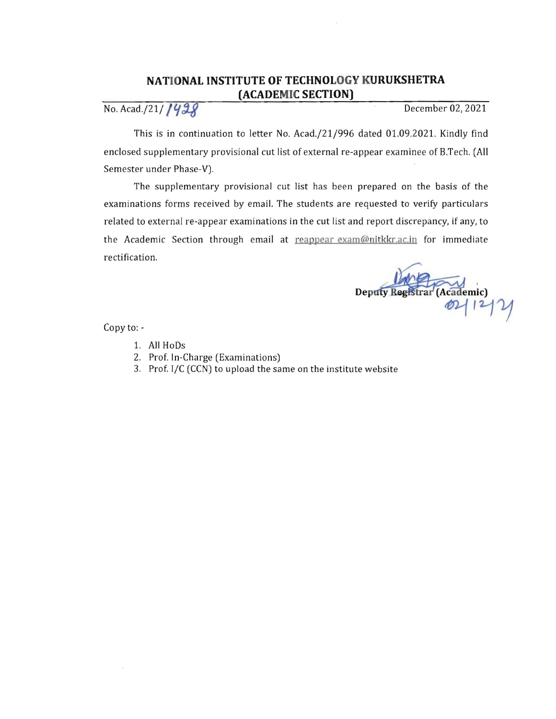## **NATIONAL INSTITUTE OF TECHNOLOGY KURUKSHETRA (ACADEMIC SECTION)**

No. Acad./21/ 1428

This is in continuation to letter No. *Acad.j21j996* dated 01.09.2021. Kindly find enclosed supplementary provisional cut list of external re-appear examinee of B.Tech. (All Semester under Phase-V).

The supplementary provisional cut list has been prepared on the basis of the examinations forms received by email. The students are requested to verify particulars related to external re-appear examinations in the cut list and report discrepancy, if any, to the Academic Section through email at reappear exam@nitkkr.ac.in for immediate rectification.

Deputy Registrar (Academic)

Copy to:

- 1. All HoDs
- 2. Prof. In-Charge (Examinations)
- 3. Prof. I/C (CCN) to upload the same on the institute website